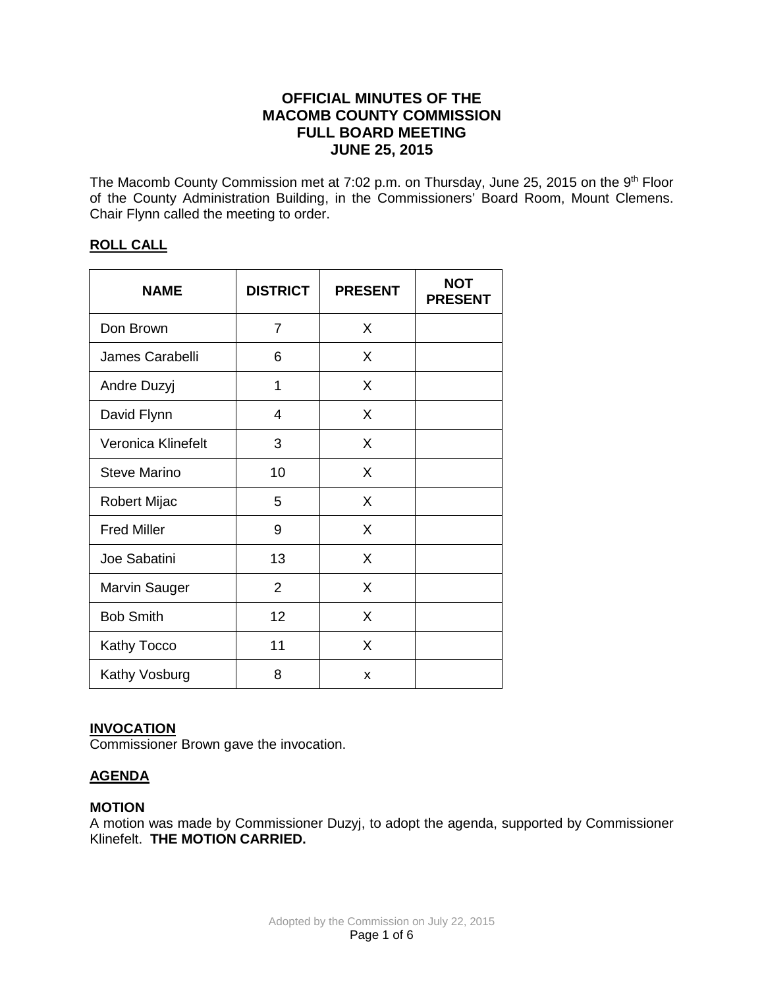# **OFFICIAL MINUTES OF THE MACOMB COUNTY COMMISSION FULL BOARD MEETING JUNE 25, 2015**

The Macomb County Commission met at 7:02 p.m. on Thursday, June 25, 2015 on the 9<sup>th</sup> Floor of the County Administration Building, in the Commissioners' Board Room, Mount Clemens. Chair Flynn called the meeting to order.

# **ROLL CALL**

| <b>NAME</b>         | <b>DISTRICT</b> | <b>PRESENT</b> | <b>NOT</b><br><b>PRESENT</b> |
|---------------------|-----------------|----------------|------------------------------|
| Don Brown           | 7               | X              |                              |
| James Carabelli     | 6               | X              |                              |
| Andre Duzyj         | 1               | X              |                              |
| David Flynn         | 4               | X              |                              |
| Veronica Klinefelt  | 3               | X              |                              |
| <b>Steve Marino</b> | 10              | X              |                              |
| Robert Mijac        | 5               | X              |                              |
| <b>Fred Miller</b>  | 9               | X              |                              |
| Joe Sabatini        | 13              | X              |                              |
| Marvin Sauger       | $\overline{2}$  | X              |                              |
| <b>Bob Smith</b>    | 12              | X              |                              |
| <b>Kathy Tocco</b>  | 11              | X              |                              |
| Kathy Vosburg       | 8               | x              |                              |

# **INVOCATION**

Commissioner Brown gave the invocation.

# **AGENDA**

# **MOTION**

A motion was made by Commissioner Duzyj, to adopt the agenda, supported by Commissioner Klinefelt. **THE MOTION CARRIED.**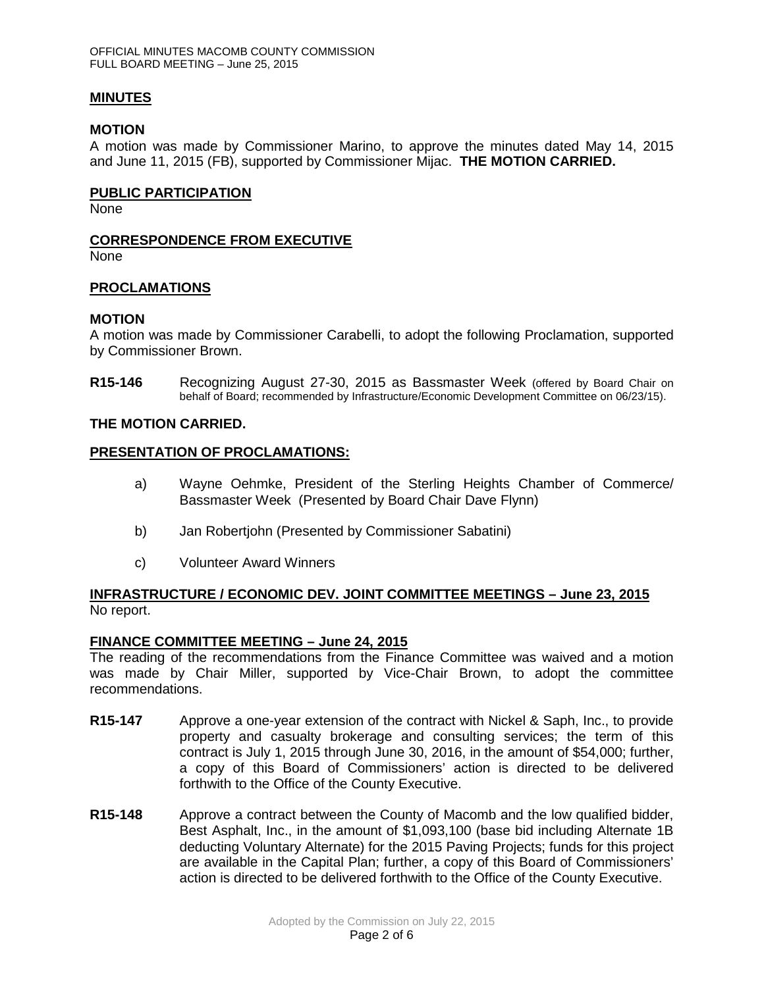# **MINUTES**

### **MOTION**

A motion was made by Commissioner Marino, to approve the minutes dated May 14, 2015 and June 11, 2015 (FB), supported by Commissioner Mijac. **THE MOTION CARRIED.** 

### **PUBLIC PARTICIPATION**

None

# **CORRESPONDENCE FROM EXECUTIVE**

None

# **PROCLAMATIONS**

# **MOTION**

A motion was made by Commissioner Carabelli, to adopt the following Proclamation, supported by Commissioner Brown.

**R15-146** Recognizing August 27-30, 2015 as Bassmaster Week (offered by Board Chair on behalf of Board; recommended by Infrastructure/Economic Development Committee on 06/23/15).

# **THE MOTION CARRIED.**

# **PRESENTATION OF PROCLAMATIONS:**

- a) Wayne Oehmke, President of the Sterling Heights Chamber of Commerce/ Bassmaster Week (Presented by Board Chair Dave Flynn)
- b) Jan Robertjohn (Presented by Commissioner Sabatini)
- c) Volunteer Award Winners

# **INFRASTRUCTURE / ECONOMIC DEV. JOINT COMMITTEE MEETINGS – June 23, 2015** No report.

### **FINANCE COMMITTEE MEETING – June 24, 2015**

The reading of the recommendations from the Finance Committee was waived and a motion was made by Chair Miller, supported by Vice-Chair Brown, to adopt the committee recommendations.

- **R15-147** Approve a one-year extension of the contract with Nickel & Saph, Inc., to provide property and casualty brokerage and consulting services; the term of this contract is July 1, 2015 through June 30, 2016, in the amount of \$54,000; further, a copy of this Board of Commissioners' action is directed to be delivered forthwith to the Office of the County Executive.
- **R15-148** Approve a contract between the County of Macomb and the low qualified bidder, Best Asphalt, Inc., in the amount of \$1,093,100 (base bid including Alternate 1B deducting Voluntary Alternate) for the 2015 Paving Projects; funds for this project are available in the Capital Plan; further, a copy of this Board of Commissioners' action is directed to be delivered forthwith to the Office of the County Executive.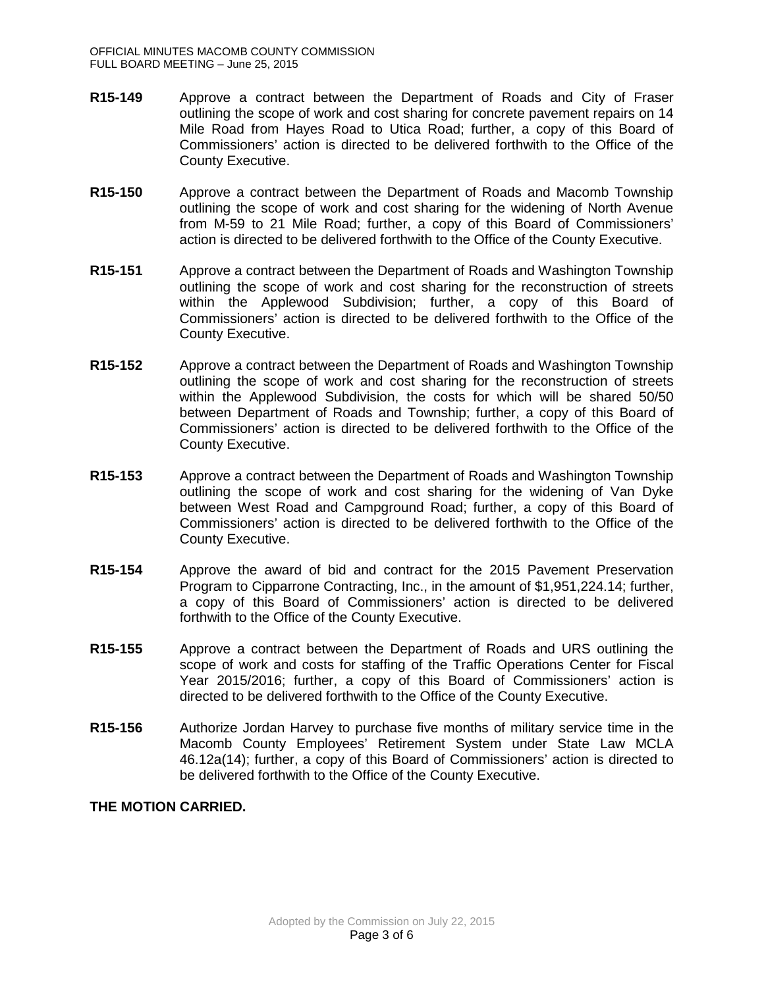- **R15-149** Approve a contract between the Department of Roads and City of Fraser outlining the scope of work and cost sharing for concrete pavement repairs on 14 Mile Road from Hayes Road to Utica Road; further, a copy of this Board of Commissioners' action is directed to be delivered forthwith to the Office of the County Executive.
- **R15-150** Approve a contract between the Department of Roads and Macomb Township outlining the scope of work and cost sharing for the widening of North Avenue from M-59 to 21 Mile Road; further, a copy of this Board of Commissioners' action is directed to be delivered forthwith to the Office of the County Executive.
- **R15-151** Approve a contract between the Department of Roads and Washington Township outlining the scope of work and cost sharing for the reconstruction of streets within the Applewood Subdivision; further, a copy of this Board of Commissioners' action is directed to be delivered forthwith to the Office of the County Executive.
- **R15-152** Approve a contract between the Department of Roads and Washington Township outlining the scope of work and cost sharing for the reconstruction of streets within the Applewood Subdivision, the costs for which will be shared 50/50 between Department of Roads and Township; further, a copy of this Board of Commissioners' action is directed to be delivered forthwith to the Office of the County Executive.
- **R15-153** Approve a contract between the Department of Roads and Washington Township outlining the scope of work and cost sharing for the widening of Van Dyke between West Road and Campground Road; further, a copy of this Board of Commissioners' action is directed to be delivered forthwith to the Office of the County Executive.
- **R15-154** Approve the award of bid and contract for the 2015 Pavement Preservation Program to Cipparrone Contracting, Inc., in the amount of \$1,951,224.14; further, a copy of this Board of Commissioners' action is directed to be delivered forthwith to the Office of the County Executive.
- **R15-155** Approve a contract between the Department of Roads and URS outlining the scope of work and costs for staffing of the Traffic Operations Center for Fiscal Year 2015/2016; further, a copy of this Board of Commissioners' action is directed to be delivered forthwith to the Office of the County Executive.
- **R15-156** Authorize Jordan Harvey to purchase five months of military service time in the Macomb County Employees' Retirement System under State Law MCLA 46.12a(14); further, a copy of this Board of Commissioners' action is directed to be delivered forthwith to the Office of the County Executive.

# **THE MOTION CARRIED.**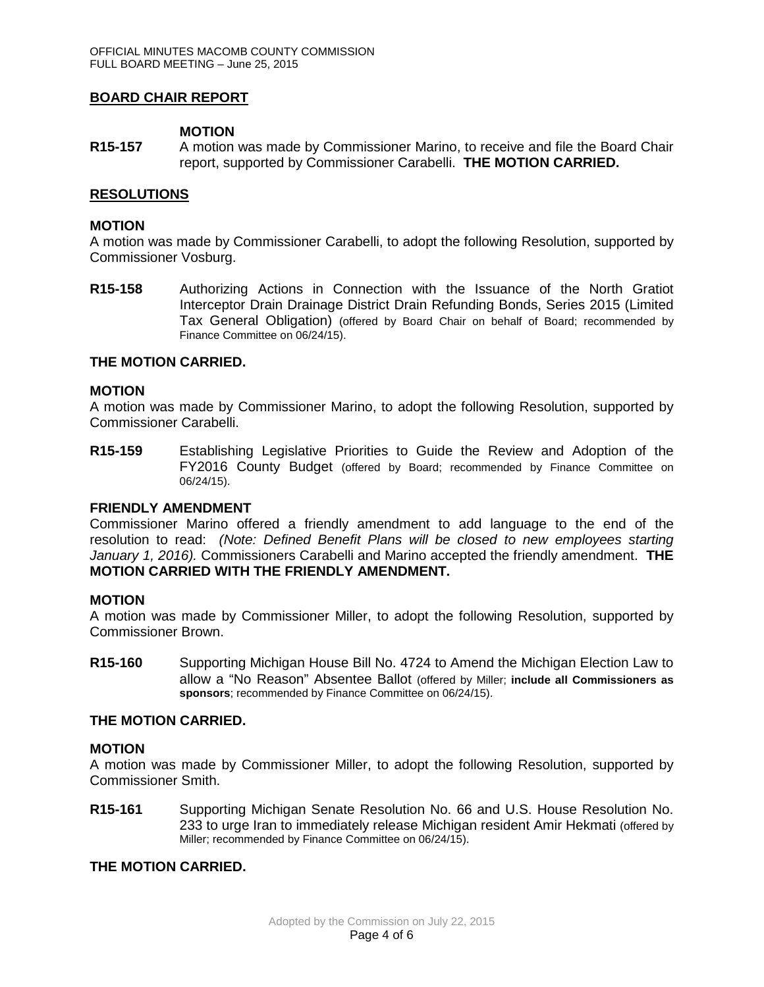# **BOARD CHAIR REPORT**

### **MOTION**

**R15-157** A motion was made by Commissioner Marino, to receive and file the Board Chair report, supported by Commissioner Carabelli. **THE MOTION CARRIED.**

### **RESOLUTIONS**

### **MOTION**

A motion was made by Commissioner Carabelli, to adopt the following Resolution, supported by Commissioner Vosburg.

**R15-158** Authorizing Actions in Connection with the Issuance of the North Gratiot Interceptor Drain Drainage District Drain Refunding Bonds, Series 2015 (Limited Tax General Obligation) (offered by Board Chair on behalf of Board; recommended by Finance Committee on 06/24/15).

#### **THE MOTION CARRIED.**

#### **MOTION**

A motion was made by Commissioner Marino, to adopt the following Resolution, supported by Commissioner Carabelli.

**R15-159** Establishing Legislative Priorities to Guide the Review and Adoption of the FY2016 County Budget (offered by Board; recommended by Finance Committee on 06/24/15).

#### **FRIENDLY AMENDMENT**

Commissioner Marino offered a friendly amendment to add language to the end of the resolution to read: *(Note: Defined Benefit Plans will be closed to new employees starting January 1, 2016).* Commissioners Carabelli and Marino accepted the friendly amendment. **THE MOTION CARRIED WITH THE FRIENDLY AMENDMENT.**

#### **MOTION**

A motion was made by Commissioner Miller, to adopt the following Resolution, supported by Commissioner Brown.

**R15-160** Supporting Michigan House Bill No. 4724 to Amend the Michigan Election Law to allow a "No Reason" Absentee Ballot (offered by Miller; **include all Commissioners as**  sponsors; recommended by Finance Committee on 06/24/15).

### **THE MOTION CARRIED.**

#### **MOTION**

A motion was made by Commissioner Miller, to adopt the following Resolution, supported by Commissioner Smith.

**R15-161** Supporting Michigan Senate Resolution No. 66 and U.S. House Resolution No. 233 to urge Iran to immediately release Michigan resident Amir Hekmati (offered by Miller; recommended by Finance Committee on 06/24/15).

#### **THE MOTION CARRIED.**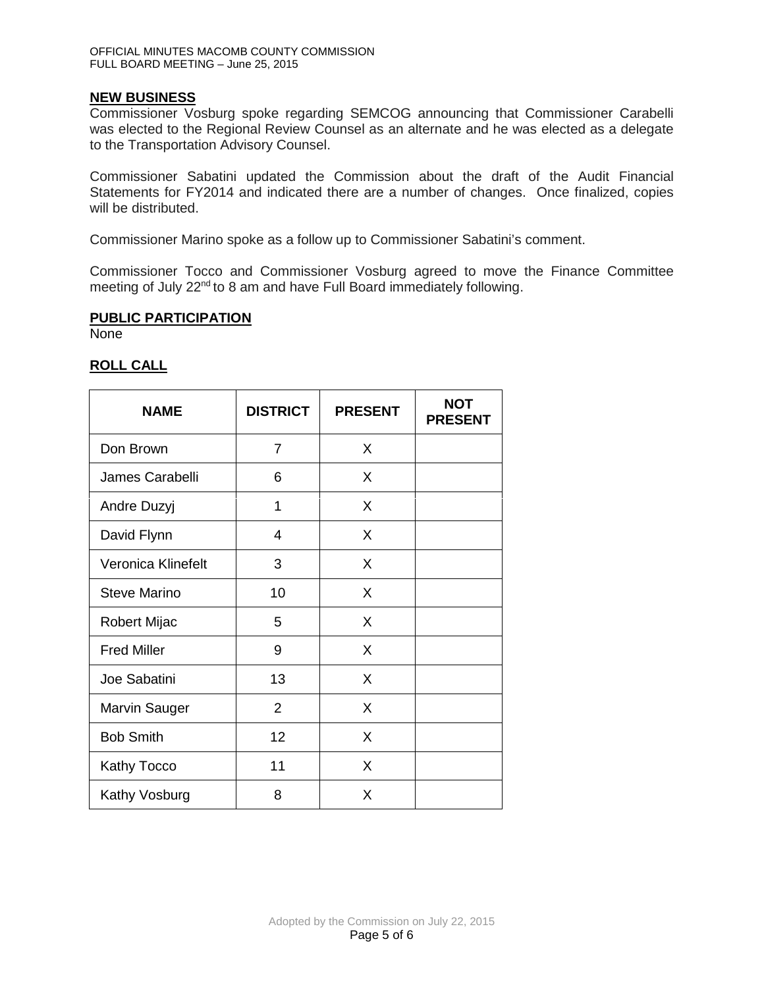# **NEW BUSINESS**

Commissioner Vosburg spoke regarding SEMCOG announcing that Commissioner Carabelli was elected to the Regional Review Counsel as an alternate and he was elected as a delegate to the Transportation Advisory Counsel.

Commissioner Sabatini updated the Commission about the draft of the Audit Financial Statements for FY2014 and indicated there are a number of changes. Once finalized, copies will be distributed.

Commissioner Marino spoke as a follow up to Commissioner Sabatini's comment.

Commissioner Tocco and Commissioner Vosburg agreed to move the Finance Committee meeting of July 22<sup>nd</sup> to 8 am and have Full Board immediately following.

# **PUBLIC PARTICIPATION**

None

# **ROLL CALL**

| <b>NAME</b>          | <b>DISTRICT</b> | <b>PRESENT</b> | <b>NOT</b><br><b>PRESENT</b> |
|----------------------|-----------------|----------------|------------------------------|
| Don Brown            | $\overline{7}$  | X              |                              |
| James Carabelli      | 6               | X              |                              |
| Andre Duzyj          | 1               | X              |                              |
| David Flynn          | $\overline{4}$  | X              |                              |
| Veronica Klinefelt   | 3               | X              |                              |
| <b>Steve Marino</b>  | 10              | X              |                              |
| Robert Mijac         | 5               | X              |                              |
| <b>Fred Miller</b>   | 9               | X              |                              |
| Joe Sabatini         | 13              | X              |                              |
| <b>Marvin Sauger</b> | 2               | X              |                              |
| <b>Bob Smith</b>     | 12              | X              |                              |
| <b>Kathy Tocco</b>   | 11              | X              |                              |
| Kathy Vosburg        | 8               | X              |                              |